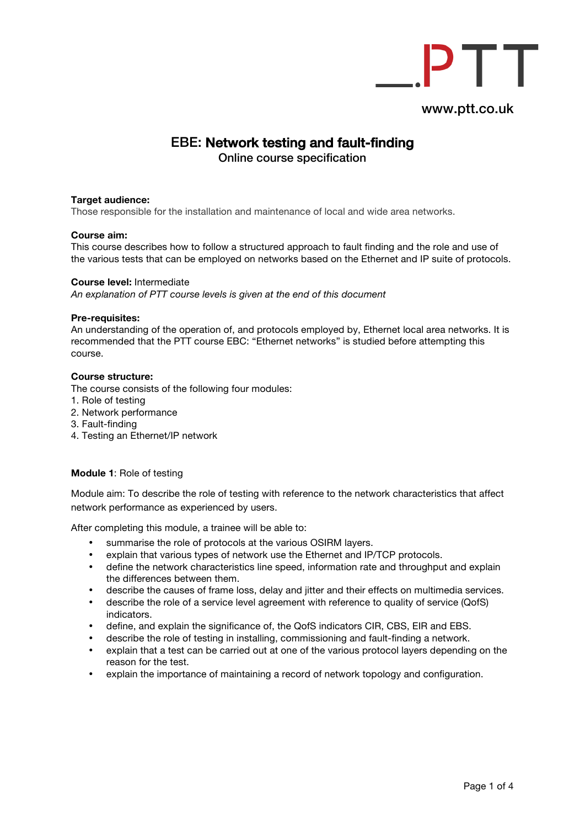

# EBE: Network testing and fault-finding

Online course specification

## **Target audience:**

Those responsible for the installation and maintenance of local and wide area networks.

## **Course aim:**

This course describes how to follow a structured approach to fault finding and the role and use of the various tests that can be employed on networks based on the Ethernet and IP suite of protocols.

#### **Course level:** Intermediate

*An explanation of PTT course levels is given at the end of this document* 

#### **Pre-requisites:**

An understanding of the operation of, and protocols employed by, Ethernet local area networks. It is recommended that the PTT course EBC: "Ethernet networks" is studied before attempting this course.

#### **Course structure:**

The course consists of the following four modules:

- 1. Role of testing
- 2. Network performance
- 3. Fault-finding
- 4. Testing an Ethernet/IP network

# **Module 1**: Role of testing

Module aim: To describe the role of testing with reference to the network characteristics that affect network performance as experienced by users.

After completing this module, a trainee will be able to:

- summarise the role of protocols at the various OSIRM layers.
- explain that various types of network use the Ethernet and IP/TCP protocols.<br>• define the network characteristics line speed, information rate and throughout
- define the network characteristics line speed, information rate and throughput and explain the differences between them.
- describe the causes of frame loss, delay and jitter and their effects on multimedia services.
- describe the role of a service level agreement with reference to quality of service (QofS) indicators.
- define, and explain the significance of, the QofS indicators CIR, CBS, EIR and EBS.
- describe the role of testing in installing, commissioning and fault-finding a network.
- explain that a test can be carried out at one of the various protocol layers depending on the reason for the test.
- explain the importance of maintaining a record of network topology and configuration.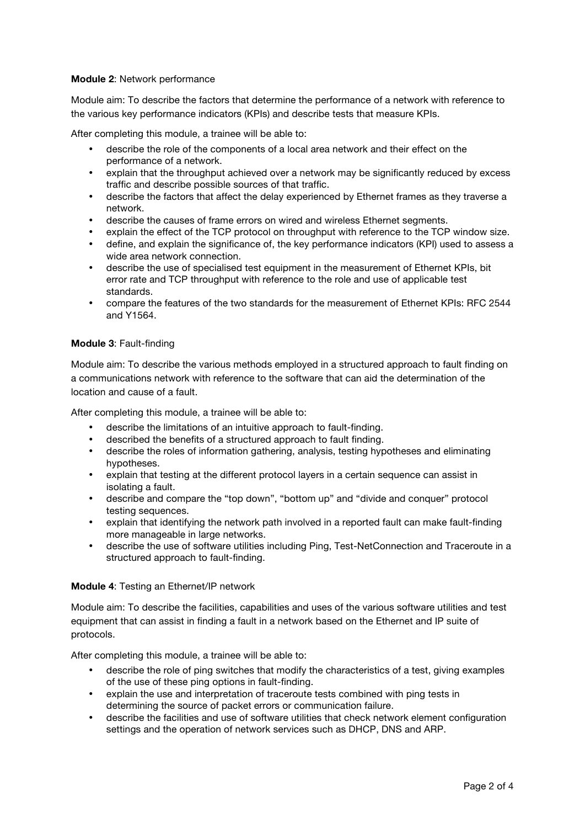# **Module 2**: Network performance

Module aim: To describe the factors that determine the performance of a network with reference to the various key performance indicators (KPIs) and describe tests that measure KPIs.

After completing this module, a trainee will be able to:

- describe the role of the components of a local area network and their effect on the performance of a network.
- explain that the throughput achieved over a network may be significantly reduced by excess traffic and describe possible sources of that traffic.
- describe the factors that affect the delay experienced by Ethernet frames as they traverse a network.
- describe the causes of frame errors on wired and wireless Ethernet segments.
- explain the effect of the TCP protocol on throughput with reference to the TCP window size.
- define, and explain the significance of, the key performance indicators (KPI) used to assess a wide area network connection.
- describe the use of specialised test equipment in the measurement of Ethernet KPIs, bit error rate and TCP throughput with reference to the role and use of applicable test standards.
- compare the features of the two standards for the measurement of Ethernet KPIs: RFC 2544 and Y1564.

#### **Module 3**: Fault-finding

Module aim: To describe the various methods employed in a structured approach to fault finding on a communications network with reference to the software that can aid the determination of the location and cause of a fault.

After completing this module, a trainee will be able to:

- describe the limitations of an intuitive approach to fault-finding.
- described the benefits of a structured approach to fault finding.
- describe the roles of information gathering, analysis, testing hypotheses and eliminating hypotheses.
- explain that testing at the different protocol layers in a certain sequence can assist in isolating a fault.
- describe and compare the "top down", "bottom up" and "divide and conquer" protocol testing sequences.
- explain that identifying the network path involved in a reported fault can make fault-finding more manageable in large networks.
- describe the use of software utilities including Ping, Test-NetConnection and Traceroute in a structured approach to fault-finding.

#### **Module 4**: Testing an Ethernet/IP network

Module aim: To describe the facilities, capabilities and uses of the various software utilities and test equipment that can assist in finding a fault in a network based on the Ethernet and IP suite of protocols.

After completing this module, a trainee will be able to:

- describe the role of ping switches that modify the characteristics of a test, giving examples of the use of these ping options in fault-finding.
- explain the use and interpretation of traceroute tests combined with ping tests in determining the source of packet errors or communication failure.
- describe the facilities and use of software utilities that check network element configuration settings and the operation of network services such as DHCP, DNS and ARP.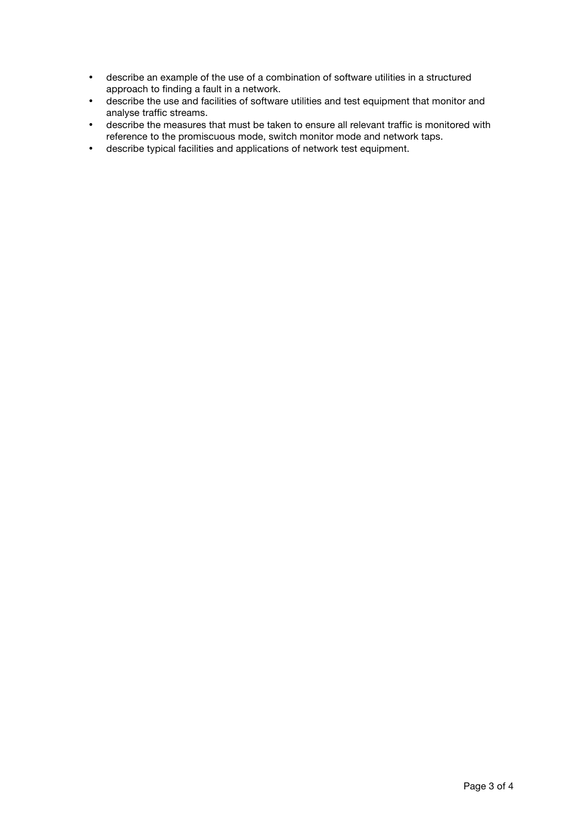- describe an example of the use of a combination of software utilities in a structured approach to finding a fault in a network.
- describe the use and facilities of software utilities and test equipment that monitor and analyse traffic streams.
- describe the measures that must be taken to ensure all relevant traffic is monitored with reference to the promiscuous mode, switch monitor mode and network taps.
- describe typical facilities and applications of network test equipment.